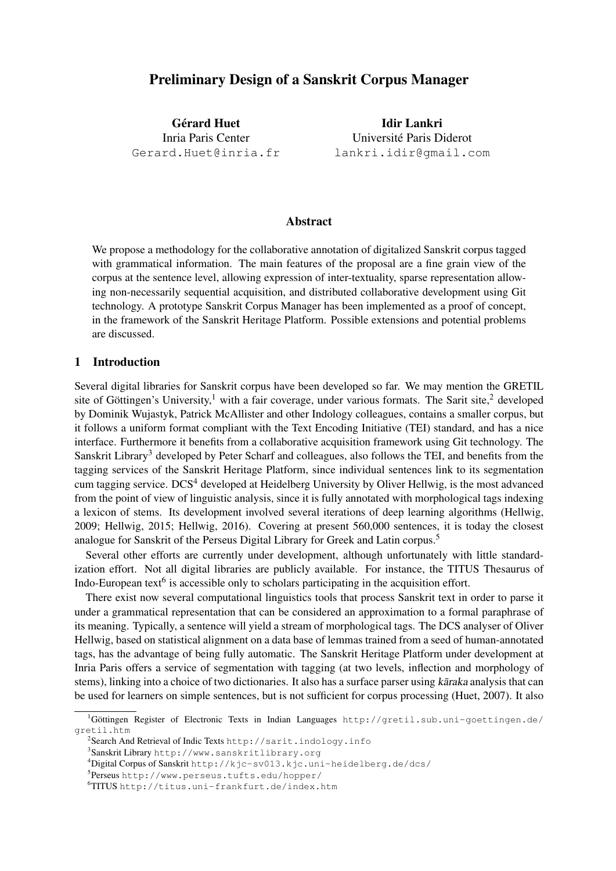# Preliminary Design of a Sanskrit Corpus Manager

**Gérard Huet** Inria Paris Center Gerard.Huet@inria.fr

Idir Lankri Universite Paris Diderot ´ lankri.idir@gmail.com

### Abstract

We propose a methodology for the collaborative annotation of digitalized Sanskrit corpus tagged with grammatical information. The main features of the proposal are a fine grain view of the corpus at the sentence level, allowing expression of inter-textuality, sparse representation allowing non-necessarily sequential acquisition, and distributed collaborative development using Git technology. A prototype Sanskrit Corpus Manager has been implemented as a proof of concept, in the framework of the Sanskrit Heritage Platform. Possible extensions and potential problems are discussed.

## 1 Introduction

Several digital libraries for Sanskrit corpus have been developed so far. We may mention the GRETIL site of Göttingen's University,<sup>1</sup> with a fair coverage, under various formats. The Sarit site,<sup>2</sup> developed by Dominik Wujastyk, Patrick McAllister and other Indology colleagues, contains a smaller corpus, but it follows a uniform format compliant with the Text Encoding Initiative (TEI) standard, and has a nice interface. Furthermore it benefits from a collaborative acquisition framework using Git technology. The Sanskrit Library<sup>3</sup> developed by Peter Scharf and colleagues, also follows the TEI, and benefits from the tagging services of the Sanskrit Heritage Platform, since individual sentences link to its segmentation cum tagging service. DCS<sup>4</sup> developed at Heidelberg University by Oliver Hellwig, is the most advanced from the point of view of linguistic analysis, since it is fully annotated with morphological tags indexing a lexicon of stems. Its development involved several iterations of deep learning algorithms (Hellwig, 2009; Hellwig, 2015; Hellwig, 2016). Covering at present 560,000 sentences, it is today the closest analogue for Sanskrit of the Perseus Digital Library for Greek and Latin corpus.<sup>5</sup>

Several other efforts are currently under development, although unfortunately with little standardization effort. Not all digital libraries are publicly available. For instance, the TITUS Thesaurus of Indo-European text<sup>6</sup> is accessible only to scholars participating in the acquisition effort.

There exist now several computational linguistics tools that process Sanskrit text in order to parse it under a grammatical representation that can be considered an approximation to a formal paraphrase of its meaning. Typically, a sentence will yield a stream of morphological tags. The DCS analyser of Oliver Hellwig, based on statistical alignment on a data base of lemmas trained from a seed of human-annotated tags, has the advantage of being fully automatic. The Sanskrit Heritage Platform under development at Inria Paris offers a service of segmentation with tagging (at two levels, inflection and morphology of stems), linking into a choice of two dictionaries. It also has a surface parser using karaka analysis that can be used for learners on simple sentences, but is not sufficient for corpus processing (Huet, 2007). It also

 ${}^{1}$ Göttingen Register of Electronic Texts in Indian Languages http://gretil.sub.uni-goettingen.de/ gretil.htm

 $^2$ Search And Retrieval of Indic Texts http://sarit.indology.info

<sup>3</sup> Sanskrit Library http://www.sanskritlibrary.org

<sup>4</sup>Digital Corpus of Sanskrit http://kjc-sv013.kjc.uni-heidelberg.de/dcs/

<sup>5</sup> Perseus http://www.perseus.tufts.edu/hopper/

<sup>6</sup>TITUS http://titus.uni-frankfurt.de/index.htm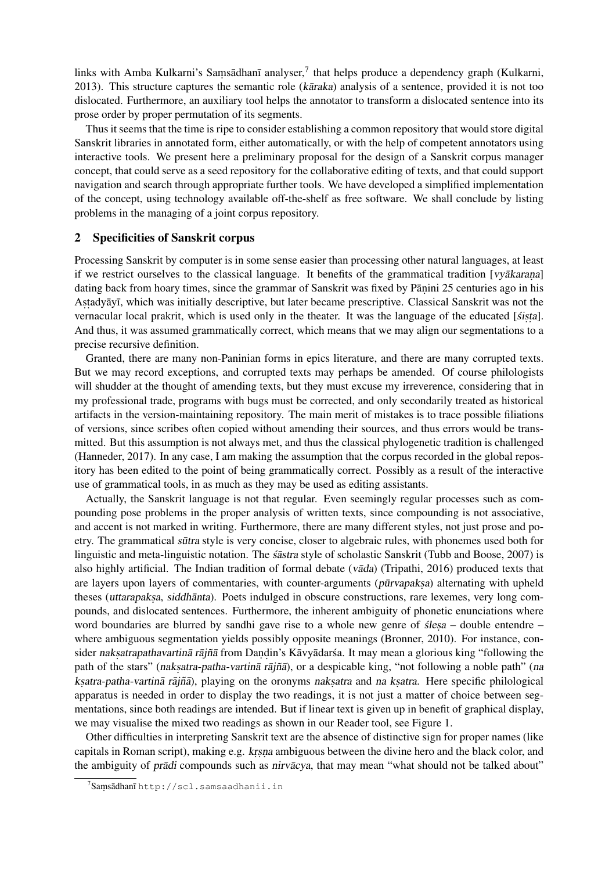links with Amba Kulkarni's Saṃsādhanī analyser,<sup>7</sup> that helps produce a dependency graph (Kulkarni, 2013). This structure captures the semantic role (karaka) analysis of a sentence, provided it is not too dislocated. Furthermore, an auxiliary tool helps the annotator to transform a dislocated sentence into its prose order by proper permutation of its segments.

Thus it seems that the time is ripe to consider establishing a common repository that would store digital Sanskrit libraries in annotated form, either automatically, or with the help of competent annotators using interactive tools. We present here a preliminary proposal for the design of a Sanskrit corpus manager concept, that could serve as a seed repository for the collaborative editing of texts, and that could support navigation and search through appropriate further tools. We have developed a simplified implementation of the concept, using technology available off-the-shelf as free software. We shall conclude by listing problems in the managing of a joint corpus repository.

## 2 Specificities of Sanskrit corpus

Processing Sanskrit by computer is in some sense easier than processing other natural languages, at least if we restrict ourselves to the classical language. It benefits of the grammatical tradition [vy $\bar{a}k$ arana] dating back from hoary times, since the grammar of Sanskrit was fixed by Pāṇini 25 centuries ago in his Astadyāyī, which was initially descriptive, but later became prescriptive. Classical Sanskrit was not the vernacular local prakrit, which is used only in the theater. It was the language of the educated [sista]. And thus, it was assumed grammatically correct, which means that we may align our segmentations to a precise recursive definition.

Granted, there are many non-Paninian forms in epics literature, and there are many corrupted texts. But we may record exceptions, and corrupted texts may perhaps be amended. Of course philologists will shudder at the thought of amending texts, but they must excuse my irreverence, considering that in my professional trade, programs with bugs must be corrected, and only secondarily treated as historical artifacts in the version-maintaining repository. The main merit of mistakes is to trace possible filiations of versions, since scribes often copied without amending their sources, and thus errors would be transmitted. But this assumption is not always met, and thus the classical phylogenetic tradition is challenged (Hanneder, 2017). In any case, I am making the assumption that the corpus recorded in the global repository has been edited to the point of being grammatically correct. Possibly as a result of the interactive use of grammatical tools, in as much as they may be used as editing assistants.

Actually, the Sanskrit language is not that regular. Even seemingly regular processes such as compounding pose problems in the proper analysis of written texts, since compounding is not associative, and accent is not marked in writing. Furthermore, there are many different styles, not just prose and poetry. The grammatical sūtra style is very concise, closer to algebraic rules, with phonemes used both for linguistic and meta-linguistic notation. The *sastra* style of scholastic Sanskrit (Tubb and Boose, 2007) is also highly artificial. The Indian tradition of formal debate  $(v\bar{a}da)$  (Tripathi, 2016) produced texts that are layers upon layers of commentaries, with counter-arguments (pūrvapaksa) alternating with upheld theses (uttarapaksa, siddhanta). Poets indulged in obscure constructions, rare lexemes, very long compounds, and dislocated sentences. Furthermore, the inherent ambiguity of phonetic enunciations where word boundaries are blurred by sandhi gave rise to a whole new genre of *ślesa* – double entendre – where ambiguous segmentation yields possibly opposite meanings (Bronner, 2010). For instance, consider naksatrapathavartinā rājñā from Dandin's Kāvyādarśa. It may mean a glorious king "following the path of the stars" (naksatra-patha-vartina rajña), or a despicable king, "not following a noble path" (na ksatra-patha-vartinā rājñā), playing on the oronyms naksatra and na ksatra. Here specific philological apparatus is needed in order to display the two readings, it is not just a matter of choice between segmentations, since both readings are intended. But if linear text is given up in benefit of graphical display, we may visualise the mixed two readings as shown in our Reader tool, see Figure 1.

Other difficulties in interpreting Sanskrit text are the absence of distinctive sign for proper names (like capitals in Roman script), making e.g. krsna ambiguous between the divine hero and the black color, and the ambiguity of *prādi* compounds such as *nirvācya*, that may mean "what should not be talked about"

 $^7$ Saṃsādhanī http://scl.samsaadhanii.in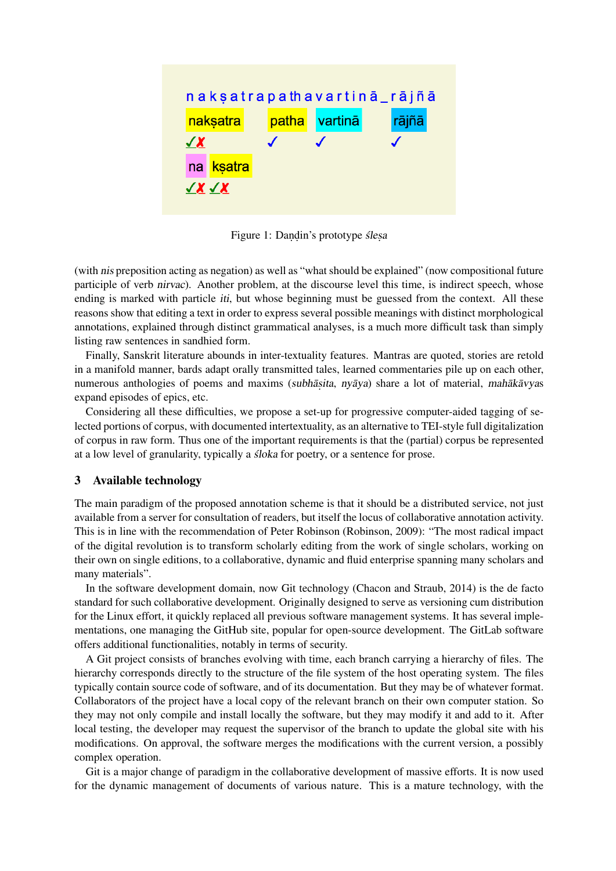

Figure 1: Dandin's prototype slesa

(with nis preposition acting as negation) as well as "what should be explained" (now compositional future participle of verb nirvac). Another problem, at the discourse level this time, is indirect speech, whose ending is marked with particle *iti*, but whose beginning must be guessed from the context. All these reasons show that editing a text in order to express several possible meanings with distinct morphological annotations, explained through distinct grammatical analyses, is a much more difficult task than simply listing raw sentences in sandhied form.

Finally, Sanskrit literature abounds in inter-textuality features. Mantras are quoted, stories are retold in a manifold manner, bards adapt orally transmitted tales, learned commentaries pile up on each other, numerous anthologies of poems and maxims (subhāṣita, nyāya) share a lot of material, mahākāvyas expand episodes of epics, etc.

Considering all these difficulties, we propose a set-up for progressive computer-aided tagging of selected portions of corpus, with documented intertextuality, as an alternative to TEI-style full digitalization of corpus in raw form. Thus one of the important requirements is that the (partial) corpus be represented at a low level of granularity, typically a *sloka* for poetry, or a sentence for prose.

## 3 Available technology

The main paradigm of the proposed annotation scheme is that it should be a distributed service, not just available from a server for consultation of readers, but itself the locus of collaborative annotation activity. This is in line with the recommendation of Peter Robinson (Robinson, 2009): "The most radical impact of the digital revolution is to transform scholarly editing from the work of single scholars, working on their own on single editions, to a collaborative, dynamic and fluid enterprise spanning many scholars and many materials".

In the software development domain, now Git technology (Chacon and Straub, 2014) is the de facto standard for such collaborative development. Originally designed to serve as versioning cum distribution for the Linux effort, it quickly replaced all previous software management systems. It has several implementations, one managing the GitHub site, popular for open-source development. The GitLab software offers additional functionalities, notably in terms of security.

A Git project consists of branches evolving with time, each branch carrying a hierarchy of files. The hierarchy corresponds directly to the structure of the file system of the host operating system. The files typically contain source code of software, and of its documentation. But they may be of whatever format. Collaborators of the project have a local copy of the relevant branch on their own computer station. So they may not only compile and install locally the software, but they may modify it and add to it. After local testing, the developer may request the supervisor of the branch to update the global site with his modifications. On approval, the software merges the modifications with the current version, a possibly complex operation.

Git is a major change of paradigm in the collaborative development of massive efforts. It is now used for the dynamic management of documents of various nature. This is a mature technology, with the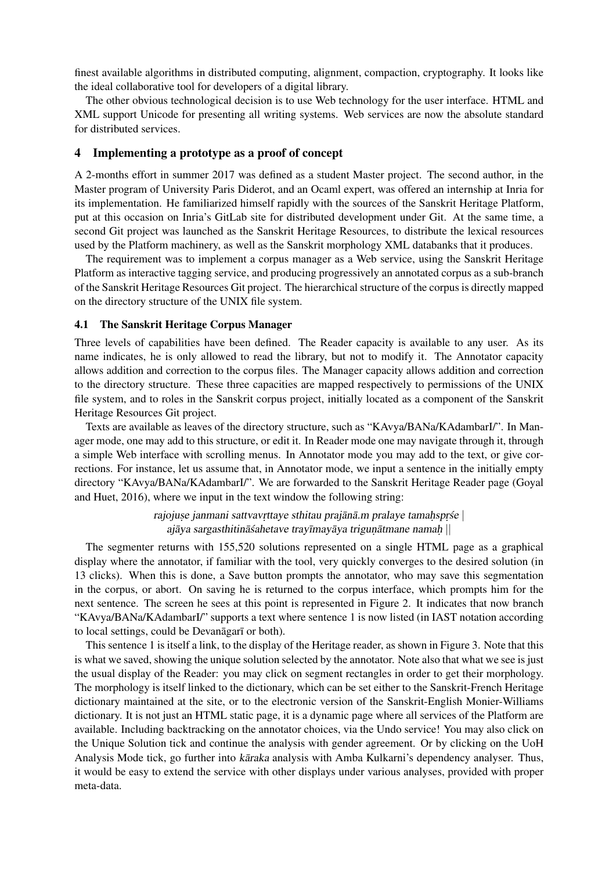finest available algorithms in distributed computing, alignment, compaction, cryptography. It looks like the ideal collaborative tool for developers of a digital library.

The other obvious technological decision is to use Web technology for the user interface. HTML and XML support Unicode for presenting all writing systems. Web services are now the absolute standard for distributed services.

## 4 Implementing a prototype as a proof of concept

A 2-months effort in summer 2017 was defined as a student Master project. The second author, in the Master program of University Paris Diderot, and an Ocaml expert, was offered an internship at Inria for its implementation. He familiarized himself rapidly with the sources of the Sanskrit Heritage Platform, put at this occasion on Inria's GitLab site for distributed development under Git. At the same time, a second Git project was launched as the Sanskrit Heritage Resources, to distribute the lexical resources used by the Platform machinery, as well as the Sanskrit morphology XML databanks that it produces.

The requirement was to implement a corpus manager as a Web service, using the Sanskrit Heritage Platform as interactive tagging service, and producing progressively an annotated corpus as a sub-branch of the Sanskrit Heritage Resources Git project. The hierarchical structure of the corpus is directly mapped on the directory structure of the UNIX file system.

### 4.1 The Sanskrit Heritage Corpus Manager

Three levels of capabilities have been defined. The Reader capacity is available to any user. As its name indicates, he is only allowed to read the library, but not to modify it. The Annotator capacity allows addition and correction to the corpus files. The Manager capacity allows addition and correction to the directory structure. These three capacities are mapped respectively to permissions of the UNIX file system, and to roles in the Sanskrit corpus project, initially located as a component of the Sanskrit Heritage Resources Git project.

Texts are available as leaves of the directory structure, such as "KAvya/BANa/KAdambarI/". In Manager mode, one may add to this structure, or edit it. In Reader mode one may navigate through it, through a simple Web interface with scrolling menus. In Annotator mode you may add to the text, or give corrections. For instance, let us assume that, in Annotator mode, we input a sentence in the initially empty directory "KAvya/BANa/KAdambarI/". We are forwarded to the Sanskrit Heritage Reader page (Goyal and Huet, 2016), where we input in the text window the following string:

> rajojuse janmani sattvavrttaye sthitau prajānā.m pralaye tamaḥspṛśe | ajāya sargasthitināśahetave trayīmayāya triguṇātmane namaḥ $\, ||$

The segmenter returns with 155,520 solutions represented on a single HTML page as a graphical display where the annotator, if familiar with the tool, very quickly converges to the desired solution (in 13 clicks). When this is done, a Save button prompts the annotator, who may save this segmentation in the corpus, or abort. On saving he is returned to the corpus interface, which prompts him for the next sentence. The screen he sees at this point is represented in Figure 2. It indicates that now branch "KAvya/BANa/KAdambarI/" supports a text where sentence 1 is now listed (in IAST notation according to local settings, could be Devanagari or both).

This sentence 1 is itself a link, to the display of the Heritage reader, as shown in Figure 3. Note that this is what we saved, showing the unique solution selected by the annotator. Note also that what we see is just the usual display of the Reader: you may click on segment rectangles in order to get their morphology. The morphology is itself linked to the dictionary, which can be set either to the Sanskrit-French Heritage dictionary maintained at the site, or to the electronic version of the Sanskrit-English Monier-Williams dictionary. It is not just an HTML static page, it is a dynamic page where all services of the Platform are available. Including backtracking on the annotator choices, via the Undo service! You may also click on the Unique Solution tick and continue the analysis with gender agreement. Or by clicking on the UoH Analysis Mode tick, go further into kāraka analysis with Amba Kulkarni's dependency analyser. Thus, it would be easy to extend the service with other displays under various analyses, provided with proper meta-data.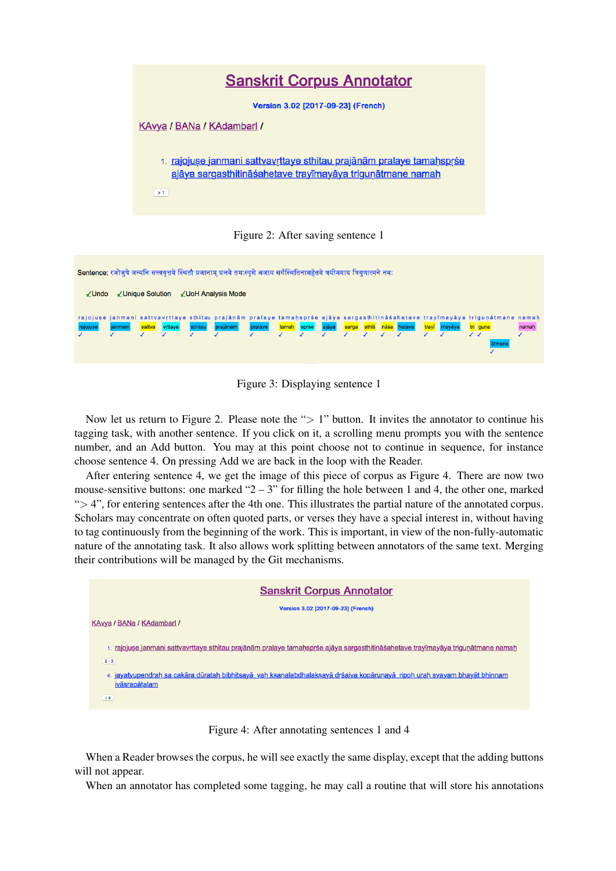





Now let us return to Figure 2. Please note the " $> 1$ " button. It invites the annotator to continue his tagging task, with another sentence. If you click on it, a scrolling menu prompts you with the sentence number, and an Add button. You may at this point choose not to continue in sequence, for instance choose sentence 4. On pressing Add we are back in the loop with the Reader.

After entering sentence 4, we get the image of this piece of corpus as Figure 4. There are now two mouse-sensitive buttons: one marked " $2 - 3$ " for filling the hole between 1 and 4, the other one, marked "> 4", for entering sentences after the 4th one. This illustrates the partial nature of the annotated corpus. Scholars may concentrate on often quoted parts, or verses they have a special interest in, without having to tag continuously from the beginning of the work. This is important, in view of the non-fully-automatic nature of the annotating task. It also allows work splitting between annotators of the same text. Merging their contributions will be managed by the Git mechanisms.



Figure 4: After annotating sentences 1 and 4

When a Reader browses the corpus, he will see exactly the same display, except that the adding buttons will not appear.

When an annotator has completed some tagging, he may call a routine that will store his annotations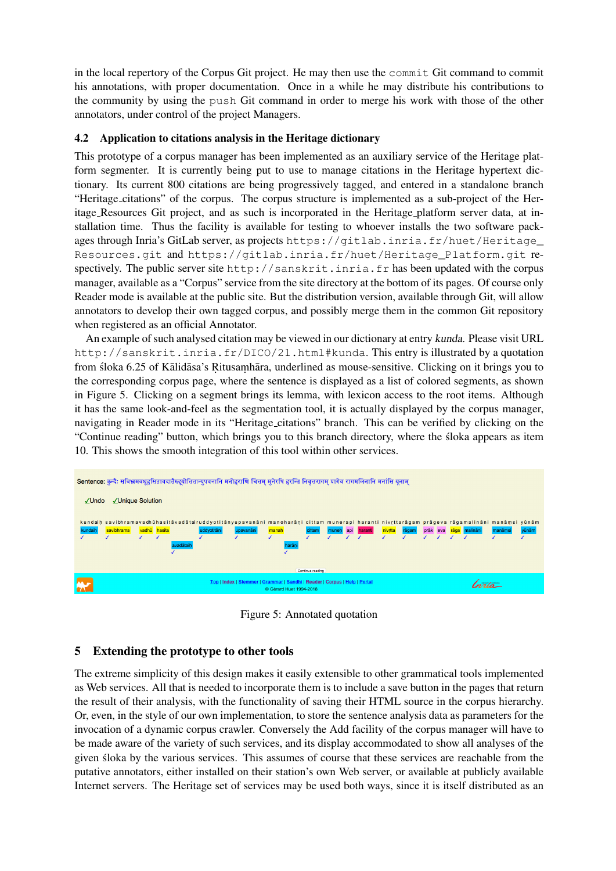in the local repertory of the Corpus Git project. He may then use the commit Git command to commit his annotations, with proper documentation. Once in a while he may distribute his contributions to the community by using the push Git command in order to merge his work with those of the other annotators, under control of the project Managers.

## 4.2 Application to citations analysis in the Heritage dictionary

This prototype of a corpus manager has been implemented as an auxiliary service of the Heritage platform segmenter. It is currently being put to use to manage citations in the Heritage hypertext dictionary. Its current 800 citations are being progressively tagged, and entered in a standalone branch "Heritage citations" of the corpus. The corpus structure is implemented as a sub-project of the Heritage Resources Git project, and as such is incorporated in the Heritage platform server data, at installation time. Thus the facility is available for testing to whoever installs the two software packages through Inria's GitLab server, as projects https://gitlab.inria.fr/huet/Heritage\_ Resources.git and https://gitlab.inria.fr/huet/Heritage\_Platform.git respectively. The public server site http://sanskrit.inria.fr has been updated with the corpus manager, available as a "Corpus" service from the site directory at the bottom of its pages. Of course only Reader mode is available at the public site. But the distribution version, available through Git, will allow annotators to develop their own tagged corpus, and possibly merge them in the common Git repository when registered as an official Annotator.

An example of such analysed citation may be viewed in our dictionary at entry kunda. Please visit URL http://sanskrit.inria.fr/DICO/21.html#kunda. This entry is illustrated by a quotation from śloka 6.25 of Kālidāsa's Ritusamhāra, underlined as mouse-sensitive. Clicking on it brings you to the corresponding corpus page, where the sentence is displayed as a list of colored segments, as shown in Figure 5. Clicking on a segment brings its lemma, with lexicon access to the root items. Although it has the same look-and-feel as the segmentation tool, it is actually displayed by the corpus manager, navigating in Reader mode in its "Heritage citations" branch. This can be verified by clicking on the "Continue reading" button, which brings you to this branch directory, where the sloka appears as item ´ 10. This shows the smooth integration of this tool within other services.



Figure 5: Annotated quotation

# 5 Extending the prototype to other tools

The extreme simplicity of this design makes it easily extensible to other grammatical tools implemented as Web services. All that is needed to incorporate them is to include a save button in the pages that return the result of their analysis, with the functionality of saving their HTML source in the corpus hierarchy. Or, even, in the style of our own implementation, to store the sentence analysis data as parameters for the invocation of a dynamic corpus crawler. Conversely the Add facility of the corpus manager will have to be made aware of the variety of such services, and its display accommodated to show all analyses of the given sloka by the various services. This assumes of course that these services are reachable from the putative annotators, either installed on their station's own Web server, or available at publicly available Internet servers. The Heritage set of services may be used both ways, since it is itself distributed as an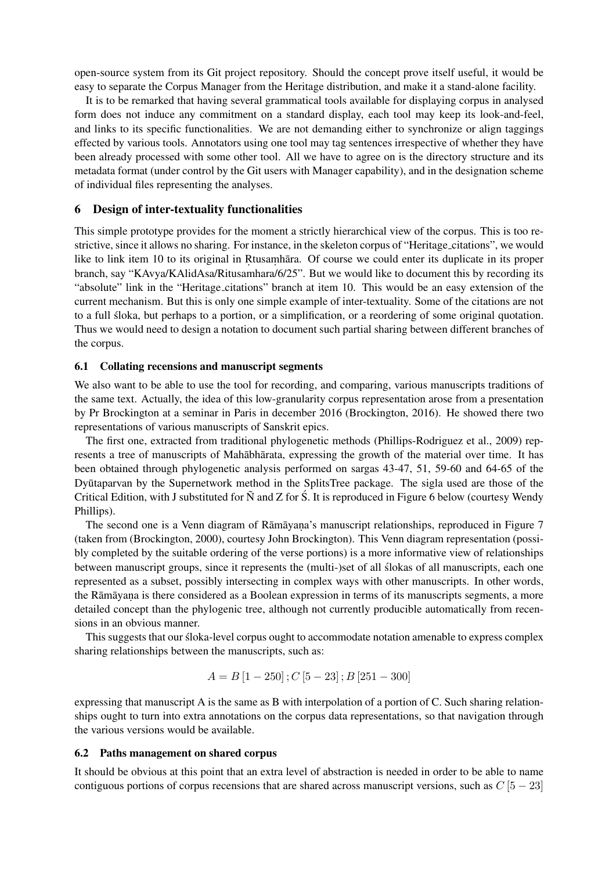open-source system from its Git project repository. Should the concept prove itself useful, it would be easy to separate the Corpus Manager from the Heritage distribution, and make it a stand-alone facility.

It is to be remarked that having several grammatical tools available for displaying corpus in analysed form does not induce any commitment on a standard display, each tool may keep its look-and-feel, and links to its specific functionalities. We are not demanding either to synchronize or align taggings effected by various tools. Annotators using one tool may tag sentences irrespective of whether they have been already processed with some other tool. All we have to agree on is the directory structure and its metadata format (under control by the Git users with Manager capability), and in the designation scheme of individual files representing the analyses.

### 6 Design of inter-textuality functionalities

This simple prototype provides for the moment a strictly hierarchical view of the corpus. This is too restrictive, since it allows no sharing. For instance, in the skeleton corpus of "Heritage citations", we would like to link item 10 to its original in Rtusamhara. Of course we could enter its duplicate in its proper branch, say "KAvya/KAlidAsa/Ritusamhara/6/25". But we would like to document this by recording its "absolute" link in the "Heritage citations" branch at item 10. This would be an easy extension of the current mechanism. But this is only one simple example of inter-textuality. Some of the citations are not to a full sloka, but perhaps to a portion, or a simplification, or a reordering of some original quotation. ´ Thus we would need to design a notation to document such partial sharing between different branches of the corpus.

### 6.1 Collating recensions and manuscript segments

We also want to be able to use the tool for recording, and comparing, various manuscripts traditions of the same text. Actually, the idea of this low-granularity corpus representation arose from a presentation by Pr Brockington at a seminar in Paris in december 2016 (Brockington, 2016). He showed there two representations of various manuscripts of Sanskrit epics.

The first one, extracted from traditional phylogenetic methods (Phillips-Rodriguez et al., 2009) represents a tree of manuscripts of Mahabharata, expressing the growth of the material over time. It has been obtained through phylogenetic analysis performed on sargas 43-47, 51, 59-60 and 64-65 of the Dyūtaparvan by the Supernetwork method in the SplitsTree package. The sigla used are those of the Critical Edition, with J substituted for  $\tilde{N}$  and Z for  $\tilde{S}$ . It is reproduced in Figure 6 below (courtesy Wendy Phillips).

The second one is a Venn diagram of Rāmāyaṇa's manuscript relationships, reproduced in Figure 7 (taken from (Brockington, 2000), courtesy John Brockington). This Venn diagram representation (possibly completed by the suitable ordering of the verse portions) is a more informative view of relationships between manuscript groups, since it represents the (multi-)set of all slokas of all manuscripts, each one represented as a subset, possibly intersecting in complex ways with other manuscripts. In other words, the Ramavana is there considered as a Boolean expression in terms of its manuscripts segments, a more detailed concept than the phylogenic tree, although not currently producible automatically from recensions in an obvious manner.

This suggests that our sloka-level corpus ought to accommodate notation amenable to express complex ´ sharing relationships between the manuscripts, such as:

$$
A = B [1 - 250]; C [5 - 23]; B [251 - 300]
$$

expressing that manuscript A is the same as B with interpolation of a portion of C. Such sharing relationships ought to turn into extra annotations on the corpus data representations, so that navigation through the various versions would be available.

### 6.2 Paths management on shared corpus

It should be obvious at this point that an extra level of abstraction is needed in order to be able to name contiguous portions of corpus recensions that are shared across manuscript versions, such as  $C[5-23]$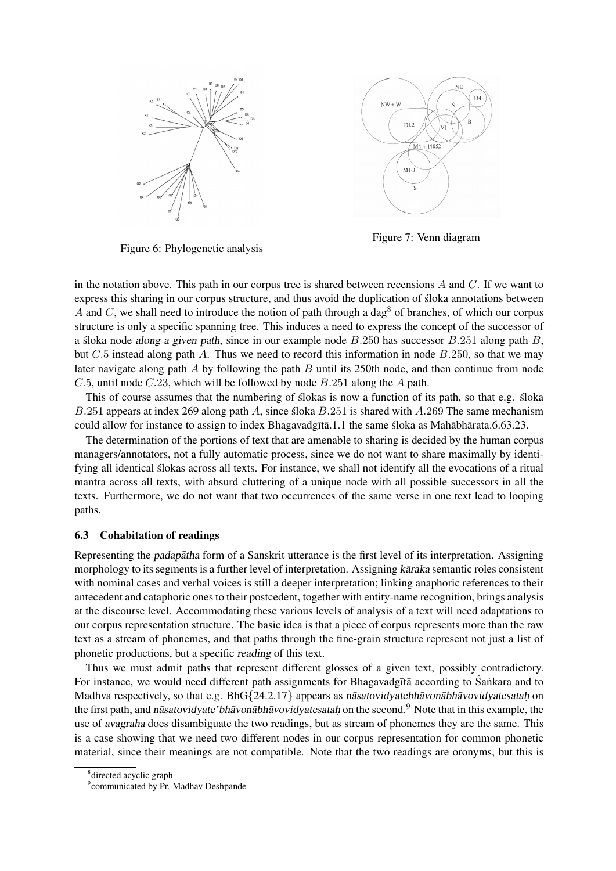



Figure 7: Venn diagram

Figure 6: Phylogenetic analysis

in the notation above. This path in our corpus tree is shared between recensions  $A$  and  $C$ . If we want to express this sharing in our corpus structure, and thus avoid the duplication of sloka annotations between ´ A and C, we shall need to introduce the notion of path through a dag<sup>8</sup> of branches, of which our corpus structure is only a specific spanning tree. This induces a need to express the concept of the successor of a sloka node *along a given path*, since in our example node  $B.250$  has successor  $B.251$  along path  $B$ , but  $C.5$  instead along path A. Thus we need to record this information in node  $B.250$ , so that we may later navigate along path  $\ddot{A}$  by following the path  $\ddot{B}$  until its 250th node, and then continue from node C.5, until node C.23, which will be followed by node B.251 along the A path.

This of course assumes that the numbering of slokas is now a function of its path, so that e.g. sloka B.251 appears at index 269 along path A, since sloka  $B.251$  is shared with A.269 The same mechanism could allow for instance to assign to index Bhagavadg $\bar{\tau}$  at all the same sloka as Mah  $\bar{\tau}$  abhagata.6.63.23.

The determination of the portions of text that are amenable to sharing is decided by the human corpus managers/annotators, not a fully automatic process, since we do not want to share maximally by identifying all identical slokas across all texts. For instance, we shall not identify all the evocations of a ritual ´ mantra across all texts, with absurd cluttering of a unique node with all possible successors in all the texts. Furthermore, we do not want that two occurrences of the same verse in one text lead to looping paths.

## 6.3 Cohabitation of readings

Representing the *padapatha* form of a Sanskrit utterance is the first level of its interpretation. Assigning morphology to its segments is a further level of interpretation. Assigning karaka semantic roles consistent with nominal cases and verbal voices is still a deeper interpretation; linking anaphoric references to their antecedent and cataphoric ones to their postcedent, together with entity-name recognition, brings analysis at the discourse level. Accommodating these various levels of analysis of a text will need adaptations to our corpus representation structure. The basic idea is that a piece of corpus represents more than the raw text as a stream of phonemes, and that paths through the fine-grain structure represent not just a list of phonetic productions, but a specific reading of this text.

Thus we must admit paths that represent different glosses of a given text, possibly contradictory. For instance, we would need different path assignments for Bhagavadg $\bar{\tau}$  according to Sankara and to Madhva respectively, so that e.g.  $BhG\{24.2.17\}$  appears as nasatovidyatebh avon abh avovidyatesatah on the first path, and nasatovidyate'bh avon abh avovidy at estable on the second.<sup>9</sup> Note that in this example, the use of avagraha does disambiguate the two readings, but as stream of phonemes they are the same. This is a case showing that we need two different nodes in our corpus representation for common phonetic material, since their meanings are not compatible. Note that the two readings are oronyms, but this is

<sup>8</sup> directed acyclic graph

<sup>&</sup>lt;sup>9</sup> communicated by Pr. Madhav Deshpande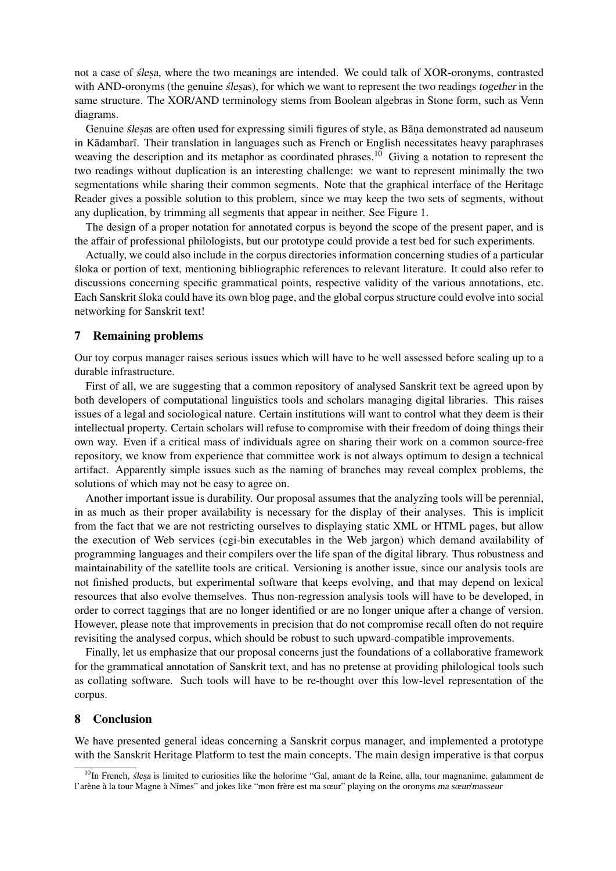not a case of *ślesa*, where the two meanings are intended. We could talk of XOR-oronyms, contrasted with AND-oronyms (the genuine *ślesas*), for which we want to represent the two readings together in the same structure. The XOR/AND terminology stems from Boolean algebras in Stone form, such as Venn diagrams.

Genuine slesas are often used for expressing simili figures of style, as Bana demonstrated ad nauseum in Kādambarī. Their translation in languages such as French or English necessitates heavy paraphrases weaving the description and its metaphor as coordinated phrases.<sup>10</sup> Giving a notation to represent the two readings without duplication is an interesting challenge: we want to represent minimally the two segmentations while sharing their common segments. Note that the graphical interface of the Heritage Reader gives a possible solution to this problem, since we may keep the two sets of segments, without any duplication, by trimming all segments that appear in neither. See Figure 1.

The design of a proper notation for annotated corpus is beyond the scope of the present paper, and is the affair of professional philologists, but our prototype could provide a test bed for such experiments.

Actually, we could also include in the corpus directories information concerning studies of a particular sloka or portion of text, mentioning bibliographic references to relevant literature. It could also refer to ´ discussions concerning specific grammatical points, respective validity of the various annotations, etc. Each Sanskrit sloka could have its own blog page, and the global corpus structure could evolve into social ´ networking for Sanskrit text!

## 7 Remaining problems

Our toy corpus manager raises serious issues which will have to be well assessed before scaling up to a durable infrastructure.

First of all, we are suggesting that a common repository of analysed Sanskrit text be agreed upon by both developers of computational linguistics tools and scholars managing digital libraries. This raises issues of a legal and sociological nature. Certain institutions will want to control what they deem is their intellectual property. Certain scholars will refuse to compromise with their freedom of doing things their own way. Even if a critical mass of individuals agree on sharing their work on a common source-free repository, we know from experience that committee work is not always optimum to design a technical artifact. Apparently simple issues such as the naming of branches may reveal complex problems, the solutions of which may not be easy to agree on.

Another important issue is durability. Our proposal assumes that the analyzing tools will be perennial, in as much as their proper availability is necessary for the display of their analyses. This is implicit from the fact that we are not restricting ourselves to displaying static XML or HTML pages, but allow the execution of Web services (cgi-bin executables in the Web jargon) which demand availability of programming languages and their compilers over the life span of the digital library. Thus robustness and maintainability of the satellite tools are critical. Versioning is another issue, since our analysis tools are not finished products, but experimental software that keeps evolving, and that may depend on lexical resources that also evolve themselves. Thus non-regression analysis tools will have to be developed, in order to correct taggings that are no longer identified or are no longer unique after a change of version. However, please note that improvements in precision that do not compromise recall often do not require revisiting the analysed corpus, which should be robust to such upward-compatible improvements.

Finally, let us emphasize that our proposal concerns just the foundations of a collaborative framework for the grammatical annotation of Sanskrit text, and has no pretense at providing philological tools such as collating software. Such tools will have to be re-thought over this low-level representation of the corpus.

## 8 Conclusion

We have presented general ideas concerning a Sanskrit corpus manager, and implemented a prototype with the Sanskrit Heritage Platform to test the main concepts. The main design imperative is that corpus

 $^{10}$ In French, *ślesa* is limited to curiosities like the holorime "Gal, amant de la Reine, alla, tour magnanime, galamment de l'arène à la tour Magne à Nîmes" and jokes like "mon frère est ma sœur" playing on the oronyms ma sœur/masseur